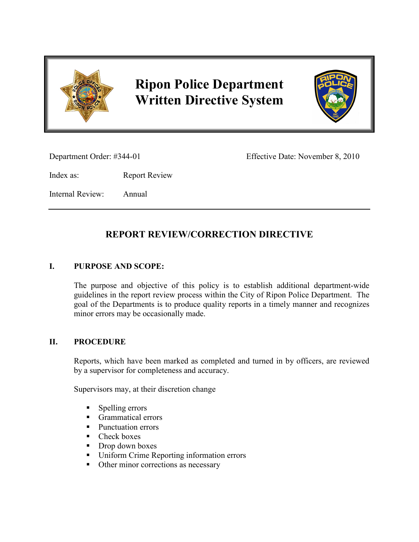

# **Ripon Police Department Written Directive System**



Department Order: #344-01 Effective Date: November 8, 2010

Index as: Report Review

Internal Review: Annual

## **REPORT REVIEW/CORRECTION DIRECTIVE**

### **I. PURPOSE AND SCOPE:**

The purpose and objective of this policy is to establish additional department-wide guidelines in the report review process within the City of Ripon Police Department. The goal of the Departments is to produce quality reports in a timely manner and recognizes minor errors may be occasionally made.

#### **II. PROCEDURE**

Reports, which have been marked as completed and turned in by officers, are reviewed by a supervisor for completeness and accuracy.

Supervisors may, at their discretion change

- **Spelling errors**
- Grammatical errors
- **Punctuation errors**
- Check boxes
- Drop down boxes
- Uniform Crime Reporting information errors
- Other minor corrections as necessary